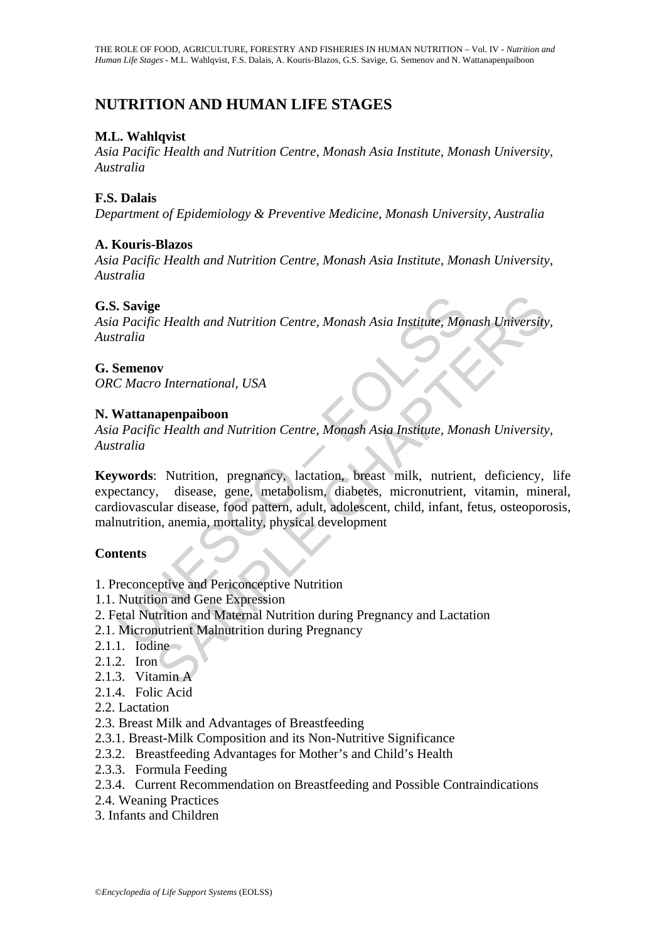# **NUTRITION AND HUMAN LIFE STAGES**

### **M.L. Wahlqvist**

*Asia Pacific Health and Nutrition Centre, Monash Asia Institute, Monash University, Australia* 

#### **F.S. Dalais**

*Department of Epidemiology & Preventive Medicine, Monash University, Australia* 

### **A. Kouris-Blazos**

*Asia Pacific Health and Nutrition Centre, Monash Asia Institute, Monash University, Australia* 

### **G.S. Savige**

*Asia Pacific Health and Nutrition Centre, Monash Asia Institute, Monash University, Australia* 

### **G. Semenov**

*ORC Macro International, USA*

#### **N. Wattanapenpaiboon**

*Asia Pacific Health and Nutrition Centre, Monash Asia Institute, Monash University, Australia* 

Savige<br>
12 Pacific Health and Nutrition Centre, Monash Asia Institute, Monash<br>
12 Pacific Health and Nutrition Centre, Monash Asia Institute, Monash<br>
12 Macro International, USA<br>
12 Macro International, USA<br>
12 Macro Inter Solution Centre, Monash Asia Institute, Monash University<br>
Solution International, USA<br>
Solution Centre, Monash Asia Institute, Monash University<br>
Solution Centre, Monash Asia Institute, Monash University<br>
Solution, pregna **Keywords**: Nutrition, pregnancy, lactation, breast milk, nutrient, deficiency, life expectancy, disease, gene, metabolism, diabetes, micronutrient, vitamin, mineral, cardiovascular disease, food pattern, adult, adolescent, child, infant, fetus, osteoporosis, malnutrition, anemia, mortality, physical development

#### **Contents**

- 1. Preconceptive and Periconceptive Nutrition
- 1.1. Nutrition and Gene Expression
- 2. Fetal Nutrition and Maternal Nutrition during Pregnancy and Lactation
- 2.1. Micronutrient Malnutrition during Pregnancy
- 2.1.1. Iodine
- 2.1.2. Iron
- 2.1.3. Vitamin A
- 2.1.4. Folic Acid
- 2.2. Lactation
- 2.3. Breast Milk and Advantages of Breastfeeding
- 2.3.1. Breast-Milk Composition and its Non-Nutritive Significance
- 2.3.2. Breastfeeding Advantages for Mother's and Child's Health
- 2.3.3. Formula Feeding
- 2.3.4. Current Recommendation on Breastfeeding and Possible Contraindications
- 2.4. Weaning Practices
- 3. Infants and Children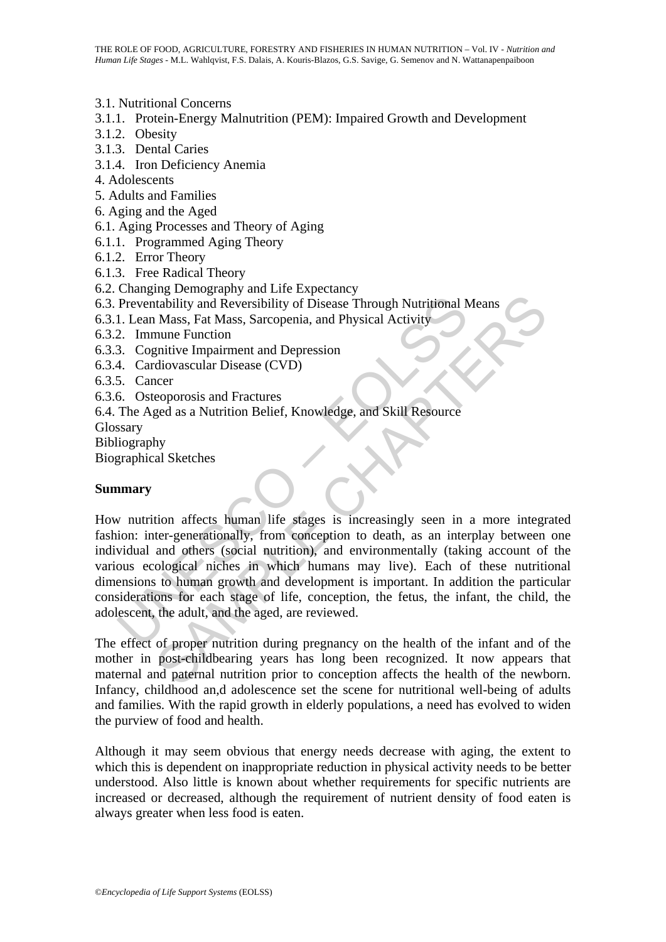3.1. Nutritional Concerns

- 3.1.1. Protein-Energy Malnutrition (PEM): Impaired Growth and Development
- 3.1.2. Obesity
- 3.1.3. Dental Caries
- 3.1.4. Iron Deficiency Anemia
- 4. Adolescents
- 5. Adults and Families
- 6. Aging and the Aged
- 6.1. Aging Processes and Theory of Aging
- 6.1.1. Programmed Aging Theory
- 6.1.2. Error Theory
- 6.1.3. Free Radical Theory
- 6.2. Changing Demography and Life Expectancy
- 6.3. Preventability and Reversibility of Disease Through Nutritional Means
- 6.3.1. Lean Mass, Fat Mass, Sarcopenia, and Physical Activity
- 6.3.2. Immune Function
- 6.3.3. Cognitive Impairment and Depression
- 6.3.4. Cardiovascular Disease (CVD)
- 6.3.5. Cancer
- 6.3.6. Osteoporosis and Fractures
- 6.4. The Aged as a Nutrition Belief, Knowledge, and Skill Resource

Glossary

Bibliography

Biographical Sketches

#### **Summary**

Preventability and Reversibility of Disease Through Nutritional N<br>
1. Lean Mass, Fat Mass, Sarcopenia, and Physical Activity<br>
2. Immune Function<br>
3. Cognitive Impairment and Depression<br>
4. Cardiovascular Disease (CVD)<br>
5. Through Nutritional Means<br>
Mass, Fat Mass, Sarcopenia, and Physical Activity<br>
Mass, Fat Mass, Sarcopenia, and Physical Activity<br>
mume Function<br>
mume Function and Depression<br>
diovascular Disease (CVD)<br>
neer<br>
eoporosis and F How nutrition affects human life stages is increasingly seen in a more integrated fashion: inter-generationally, from conception to death, as an interplay between one individual and others (social nutrition), and environmentally (taking account of the various ecological niches in which humans may live). Each of these nutritional dimensions to human growth and development is important. In addition the particular considerations for each stage of life, conception, the fetus, the infant, the child, the adolescent, the adult, and the aged, are reviewed.

The effect of proper nutrition during pregnancy on the health of the infant and of the mother in post-childbearing years has long been recognized. It now appears that maternal and paternal nutrition prior to conception affects the health of the newborn. Infancy, childhood an,d adolescence set the scene for nutritional well-being of adults and families. With the rapid growth in elderly populations, a need has evolved to widen the purview of food and health.

Although it may seem obvious that energy needs decrease with aging, the extent to which this is dependent on inappropriate reduction in physical activity needs to be better understood. Also little is known about whether requirements for specific nutrients are increased or decreased, although the requirement of nutrient density of food eaten is always greater when less food is eaten.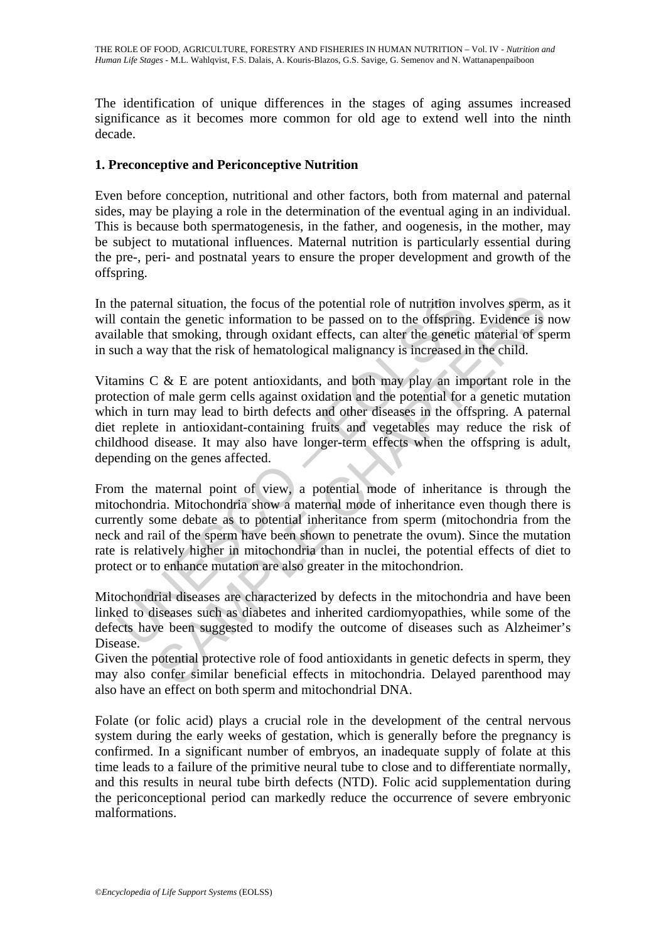The identification of unique differences in the stages of aging assumes increased significance as it becomes more common for old age to extend well into the ninth decade.

### **1. Preconceptive and Periconceptive Nutrition**

Even before conception, nutritional and other factors, both from maternal and paternal sides, may be playing a role in the determination of the eventual aging in an individual. This is because both spermatogenesis, in the father, and oogenesis, in the mother, may be subject to mutational influences. Maternal nutrition is particularly essential during the pre-, peri- and postnatal years to ensure the proper development and growth of the offspring.

In the paternal situation, the focus of the potential role of nutrition involves sperm, as it will contain the genetic information to be passed on to the offspring. Evidence is now available that smoking, through oxidant effects, can alter the genetic material of sperm in such a way that the risk of hematological malignancy is increased in the child.

ne paternal situation, the focus of the potential role of nutrition in contain the genetic information to be passed on to the offspring lable that smoking, through oxidant effects, can alter the genetic che a way that the mal situation, the focus of the potential role of nutrition involves sperm, n the genetic information to be passed on to the offspring. Evidence is nat smoking, through oxidant effects, can alter the genetic inaterial of Vitamins C & E are potent antioxidants, and both may play an important role in the protection of male germ cells against oxidation and the potential for a genetic mutation which in turn may lead to birth defects and other diseases in the offspring. A paternal diet replete in antioxidant-containing fruits and vegetables may reduce the risk of childhood disease. It may also have longer-term effects when the offspring is adult, depending on the genes affected.

From the maternal point of view, a potential mode of inheritance is through the mitochondria. Mitochondria show a maternal mode of inheritance even though there is currently some debate as to potential inheritance from sperm (mitochondria from the neck and rail of the sperm have been shown to penetrate the ovum). Since the mutation rate is relatively higher in mitochondria than in nuclei, the potential effects of diet to protect or to enhance mutation are also greater in the mitochondrion.

Mitochondrial diseases are characterized by defects in the mitochondria and have been linked to diseases such as diabetes and inherited cardiomyopathies, while some of the defects have been suggested to modify the outcome of diseases such as Alzheimer's Disease.

Given the potential protective role of food antioxidants in genetic defects in sperm, they may also confer similar beneficial effects in mitochondria. Delayed parenthood may also have an effect on both sperm and mitochondrial DNA.

Folate (or folic acid) plays a crucial role in the development of the central nervous system during the early weeks of gestation, which is generally before the pregnancy is confirmed. In a significant number of embryos, an inadequate supply of folate at this time leads to a failure of the primitive neural tube to close and to differentiate normally, and this results in neural tube birth defects (NTD). Folic acid supplementation during the periconceptional period can markedly reduce the occurrence of severe embryonic malformations.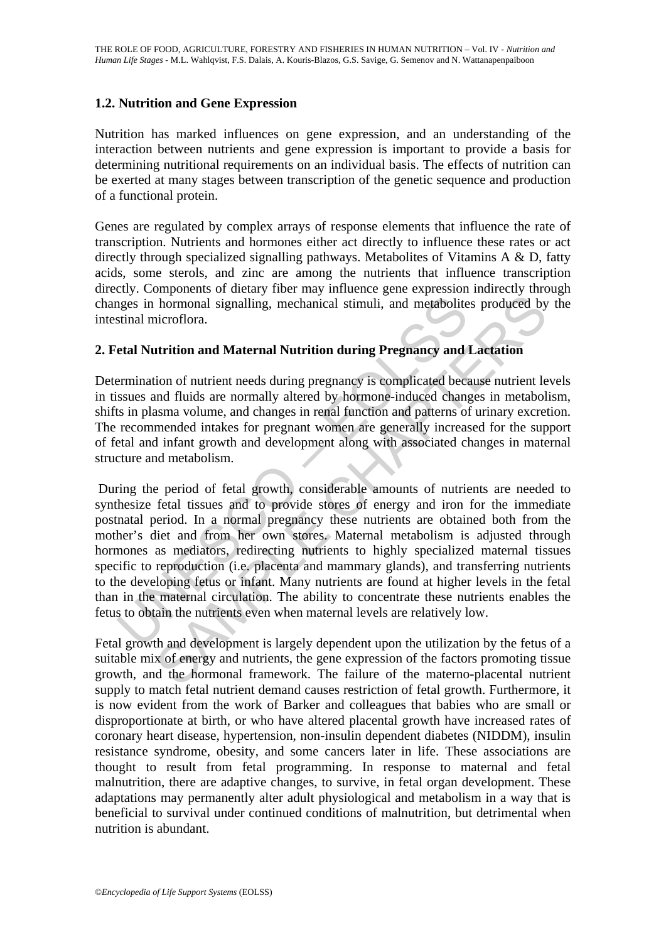#### **1.2. Nutrition and Gene Expression**

Nutrition has marked influences on gene expression, and an understanding of the interaction between nutrients and gene expression is important to provide a basis for determining nutritional requirements on an individual basis. The effects of nutrition can be exerted at many stages between transcription of the genetic sequence and production of a functional protein.

Genes are regulated by complex arrays of response elements that influence the rate of transcription. Nutrients and hormones either act directly to influence these rates or act directly through specialized signalling pathways. Metabolites of Vitamins A & D, fatty acids, some sterols, and zinc are among the nutrients that influence transcription directly. Components of dietary fiber may influence gene expression indirectly through changes in hormonal signalling, mechanical stimuli, and metabolites produced by the intestinal microflora.

### **2. Fetal Nutrition and Maternal Nutrition during Pregnancy and Lactation**

Determination of nutrient needs during pregnancy is complicated because nutrient levels in tissues and fluids are normally altered by hormone-induced changes in metabolism, shifts in plasma volume, and changes in renal function and patterns of urinary excretion. The recommended intakes for pregnant women are generally increased for the support of fetal and infant growth and development along with associated changes in maternal structure and metabolism.

resignes in hormonal signalling, mechanical stimuli, and metabolite<br>stinal microflora.<br> **Etal Nutrition and Maternal Nutrition during Pregnancy and**<br> **Etal Nutrition and Maternal Nutrition during Pregnancy and**<br> **Ethick** a hormonal signalling, mechanical stimuli, and metabolites produced by<br>hormonal signalling, mechanical stimuli, and metabolites produced by<br>aicroflora.<br>**Artrition and Maternal Nutrition during Pregnancy and Lactation**<br>ion of During the period of fetal growth, considerable amounts of nutrients are needed to synthesize fetal tissues and to provide stores of energy and iron for the immediate postnatal period. In a normal pregnancy these nutrients are obtained both from the mother's diet and from her own stores. Maternal metabolism is adjusted through hormones as mediators, redirecting nutrients to highly specialized maternal tissues specific to reproduction (i.e. placenta and mammary glands), and transferring nutrients to the developing fetus or infant. Many nutrients are found at higher levels in the fetal than in the maternal circulation. The ability to concentrate these nutrients enables the fetus to obtain the nutrients even when maternal levels are relatively low.

Fetal growth and development is largely dependent upon the utilization by the fetus of a suitable mix of energy and nutrients, the gene expression of the factors promoting tissue growth, and the hormonal framework. The failure of the materno-placental nutrient supply to match fetal nutrient demand causes restriction of fetal growth. Furthermore, it is now evident from the work of Barker and colleagues that babies who are small or disproportionate at birth, or who have altered placental growth have increased rates of coronary heart disease, hypertension, non-insulin dependent diabetes (NIDDM), insulin resistance syndrome, obesity, and some cancers later in life. These associations are thought to result from fetal programming. In response to maternal and fetal malnutrition, there are adaptive changes, to survive, in fetal organ development. These adaptations may permanently alter adult physiological and metabolism in a way that is beneficial to survival under continued conditions of malnutrition, but detrimental when nutrition is abundant.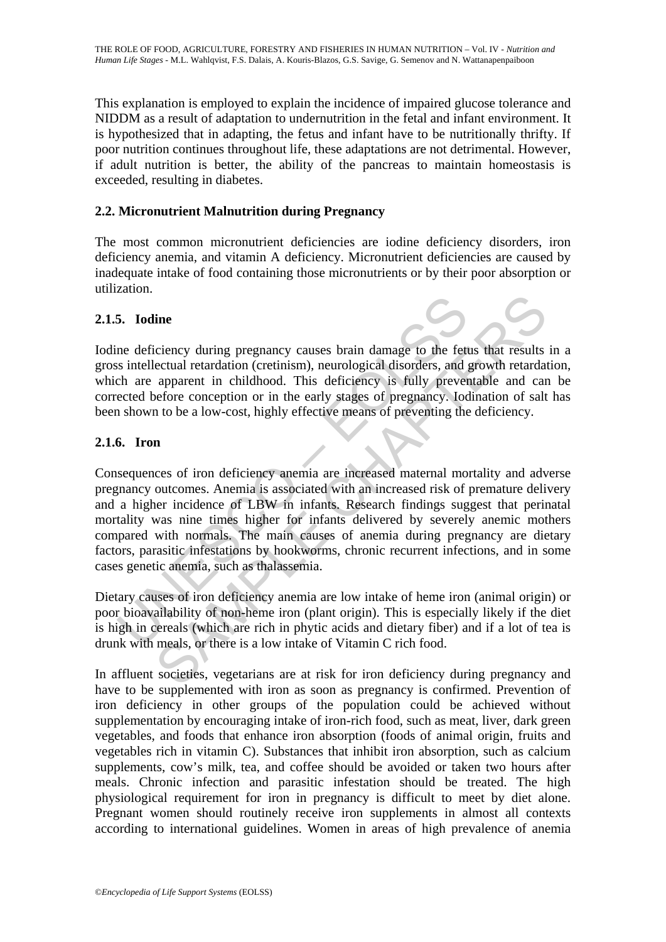This explanation is employed to explain the incidence of impaired glucose tolerance and NIDDM as a result of adaptation to undernutrition in the fetal and infant environment. It is hypothesized that in adapting, the fetus and infant have to be nutritionally thrifty. If poor nutrition continues throughout life, these adaptations are not detrimental. However, if adult nutrition is better, the ability of the pancreas to maintain homeostasis is exceeded, resulting in diabetes.

### **2.2. Micronutrient Malnutrition during Pregnancy**

The most common micronutrient deficiencies are iodine deficiency disorders, iron deficiency anemia, and vitamin A deficiency. Micronutrient deficiencies are caused by inadequate intake of food containing those micronutrients or by their poor absorption or utilization.

#### **2.1.5. Iodine**

Iodine deficiency during pregnancy causes brain damage to the fetus that results in a gross intellectual retardation (cretinism), neurological disorders, and growth retardation, which are apparent in childhood. This deficiency is fully preventable and can be corrected before conception or in the early stages of pregnancy. Iodination of salt has been shown to be a low-cost, highly effective means of preventing the deficiency.

### **2.1.6. Iron**

5. Iodine<br>ne deficiency during pregnancy causes brain damage to the fet<br>si sintellectual retardation (cretinism), neurological disorders, and<br>ch are apparent in childhood. This deficiency is fully prever<br>ected before conce incential process of antimalism and manage to the fettis that results<br>cettual retardation (cretinism), neurological disorders, and growth retardat<br>apparent in childhood. This deficiency is fully preventable and car<br>affere Consequences of iron deficiency anemia are increased maternal mortality and adverse pregnancy outcomes. Anemia is associated with an increased risk of premature delivery and a higher incidence of LBW in infants. Research findings suggest that perinatal mortality was nine times higher for infants delivered by severely anemic mothers compared with normals. The main causes of anemia during pregnancy are dietary factors, parasitic infestations by hookworms, chronic recurrent infections, and in some cases genetic anemia, such as thalassemia.

Dietary causes of iron deficiency anemia are low intake of heme iron (animal origin) or poor bioavailability of non-heme iron (plant origin). This is especially likely if the diet is high in cereals (which are rich in phytic acids and dietary fiber) and if a lot of tea is drunk with meals, or there is a low intake of Vitamin C rich food.

In affluent societies, vegetarians are at risk for iron deficiency during pregnancy and have to be supplemented with iron as soon as pregnancy is confirmed. Prevention of iron deficiency in other groups of the population could be achieved without supplementation by encouraging intake of iron-rich food, such as meat, liver, dark green vegetables, and foods that enhance iron absorption (foods of animal origin, fruits and vegetables rich in vitamin C). Substances that inhibit iron absorption, such as calcium supplements, cow's milk, tea, and coffee should be avoided or taken two hours after meals. Chronic infection and parasitic infestation should be treated. The high physiological requirement for iron in pregnancy is difficult to meet by diet alone. Pregnant women should routinely receive iron supplements in almost all contexts according to international guidelines. Women in areas of high prevalence of anemia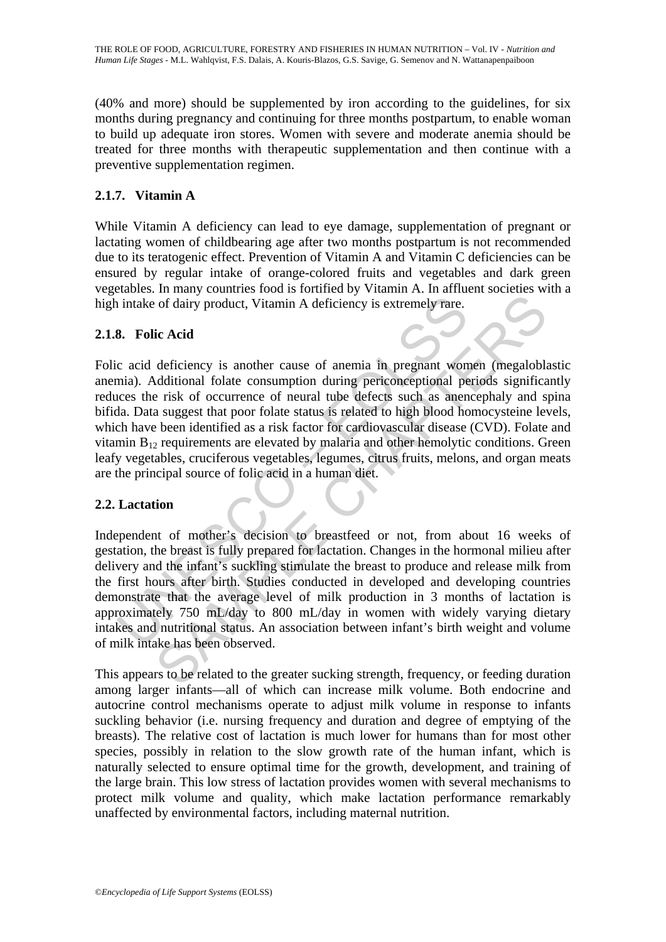(40% and more) should be supplemented by iron according to the guidelines, for six months during pregnancy and continuing for three months postpartum, to enable woman to build up adequate iron stores. Women with severe and moderate anemia should be treated for three months with therapeutic supplementation and then continue with a preventive supplementation regimen.

# **2.1.7. Vitamin A**

While Vitamin A deficiency can lead to eye damage, supplementation of pregnant or lactating women of childbearing age after two months postpartum is not recommended due to its teratogenic effect. Prevention of Vitamin A and Vitamin C deficiencies can be ensured by regular intake of orange-colored fruits and vegetables and dark green vegetables. In many countries food is fortified by Vitamin A. In affluent societies with a high intake of dairy product, Vitamin A deficiency is extremely rare.

### **2.1.8. Folic Acid**

is intake of dairy product, Vitamin A deficiency is extremely rare.<br> **8.** Folic Acid<br>
c acid deficiency is another cause of anemia in pregnant wom<br>
and . Additional folate consumption during periconceptional pe<br>
ces the r of dairy product, Vitamin A deficiency is extremely rare.<br>
ic Acid<br>
deficiency is another cause of anemia in pregnant women (megalobla<br>
deficiency is another cause of anemia in pregnant women (megalobla<br>
deficiency is anot Folic acid deficiency is another cause of anemia in pregnant women (megaloblastic anemia). Additional folate consumption during periconceptional periods significantly reduces the risk of occurrence of neural tube defects such as anencephaly and spina bifida. Data suggest that poor folate status is related to high blood homocysteine levels, which have been identified as a risk factor for cardiovascular disease (CVD). Folate and vitamin  $B_{12}$  requirements are elevated by malaria and other hemolytic conditions. Green leafy vegetables, cruciferous vegetables, legumes, citrus fruits, melons, and organ meats are the principal source of folic acid in a human diet.

## **2.2. Lactation**

Independent of mother's decision to breastfeed or not, from about 16 weeks of gestation, the breast is fully prepared for lactation. Changes in the hormonal milieu after delivery and the infant's suckling stimulate the breast to produce and release milk from the first hours after birth. Studies conducted in developed and developing countries demonstrate that the average level of milk production in 3 months of lactation is approximately 750 mL/day to 800 mL/day in women with widely varying dietary intakes and nutritional status. An association between infant's birth weight and volume of milk intake has been observed.

This appears to be related to the greater sucking strength, frequency, or feeding duration among larger infants—all of which can increase milk volume. Both endocrine and autocrine control mechanisms operate to adjust milk volume in response to infants suckling behavior (i.e. nursing frequency and duration and degree of emptying of the breasts). The relative cost of lactation is much lower for humans than for most other species, possibly in relation to the slow growth rate of the human infant, which is naturally selected to ensure optimal time for the growth, development, and training of the large brain. This low stress of lactation provides women with several mechanisms to protect milk volume and quality, which make lactation performance remarkably unaffected by environmental factors, including maternal nutrition.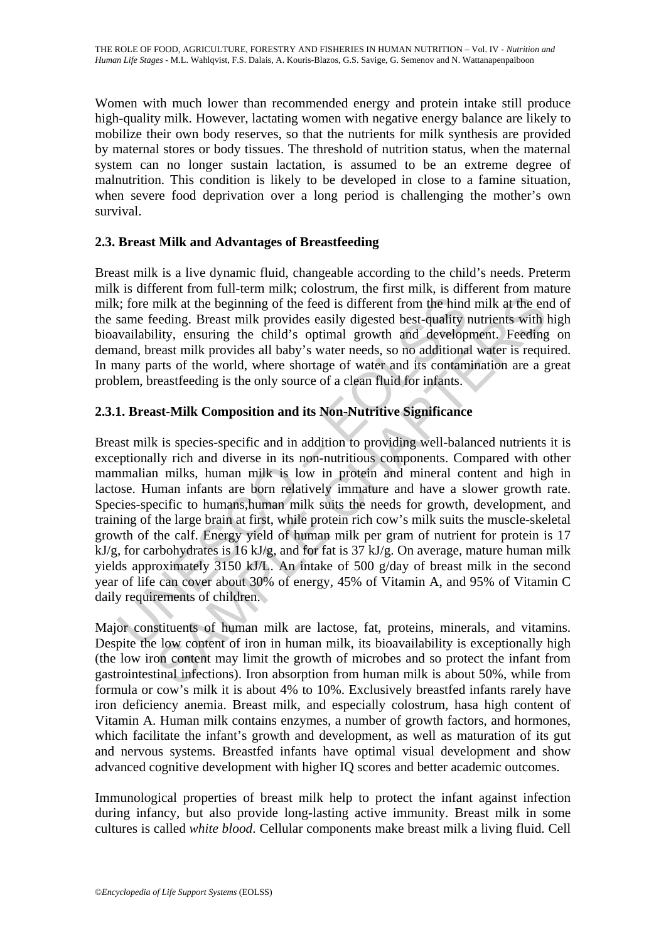Women with much lower than recommended energy and protein intake still produce high-quality milk. However, lactating women with negative energy balance are likely to mobilize their own body reserves, so that the nutrients for milk synthesis are provided by maternal stores or body tissues. The threshold of nutrition status, when the maternal system can no longer sustain lactation, is assumed to be an extreme degree of malnutrition. This condition is likely to be developed in close to a famine situation, when severe food deprivation over a long period is challenging the mother's own survival.

### **2.3. Breast Milk and Advantages of Breastfeeding**

Breast milk is a live dynamic fluid, changeable according to the child's needs. Preterm milk is different from full-term milk; colostrum, the first milk, is different from mature milk; fore milk at the beginning of the feed is different from the hind milk at the end of the same feeding. Breast milk provides easily digested best-quality nutrients with high bioavailability, ensuring the child's optimal growth and development. Feeding on demand, breast milk provides all baby's water needs, so no additional water is required. In many parts of the world, where shortage of water and its contamination are a great problem, breastfeeding is the only source of a clean fluid for infants.

## **2.3.1. Breast-Milk Composition and its Non-Nutritive Significance**

is the beginning of the feed is different from the hind<br>same feeding. Breast milk provides easily digested best-quality is<br>vailability, ensuring the child's optimal growth and develop<br>and, breast milk provides all baby's milk at the beginning of the feed is different from the hind milk at the eneding. Breast milk provides easily digested best-quality nutrients with lity, ensuring the child's optimal growth and development. Feedings the cas Breast milk is species-specific and in addition to providing well-balanced nutrients it is exceptionally rich and diverse in its non-nutritious components. Compared with other mammalian milks, human milk is low in protein and mineral content and high in lactose. Human infants are born relatively immature and have a slower growth rate. Species-specific to humans,human milk suits the needs for growth, development, and training of the large brain at first, while protein rich cow's milk suits the muscle-skeletal growth of the calf. Energy yield of human milk per gram of nutrient for protein is 17 kJ/g, for carbohydrates is 16 kJ/g, and for fat is 37 kJ/g. On average, mature human milk yields approximately 3150 kJ/L. An intake of 500 g/day of breast milk in the second year of life can cover about 30% of energy, 45% of Vitamin A, and 95% of Vitamin C daily requirements of children.

Major constituents of human milk are lactose, fat, proteins, minerals, and vitamins. Despite the low content of iron in human milk, its bioavailability is exceptionally high (the low iron content may limit the growth of microbes and so protect the infant from gastrointestinal infections). Iron absorption from human milk is about 50%, while from formula or cow's milk it is about 4% to 10%. Exclusively breastfed infants rarely have iron deficiency anemia. Breast milk, and especially colostrum, hasa high content of Vitamin A. Human milk contains enzymes, a number of growth factors, and hormones, which facilitate the infant's growth and development, as well as maturation of its gut and nervous systems. Breastfed infants have optimal visual development and show advanced cognitive development with higher IQ scores and better academic outcomes.

Immunological properties of breast milk help to protect the infant against infection during infancy, but also provide long-lasting active immunity. Breast milk in some cultures is called *white blood*. Cellular components make breast milk a living fluid. Cell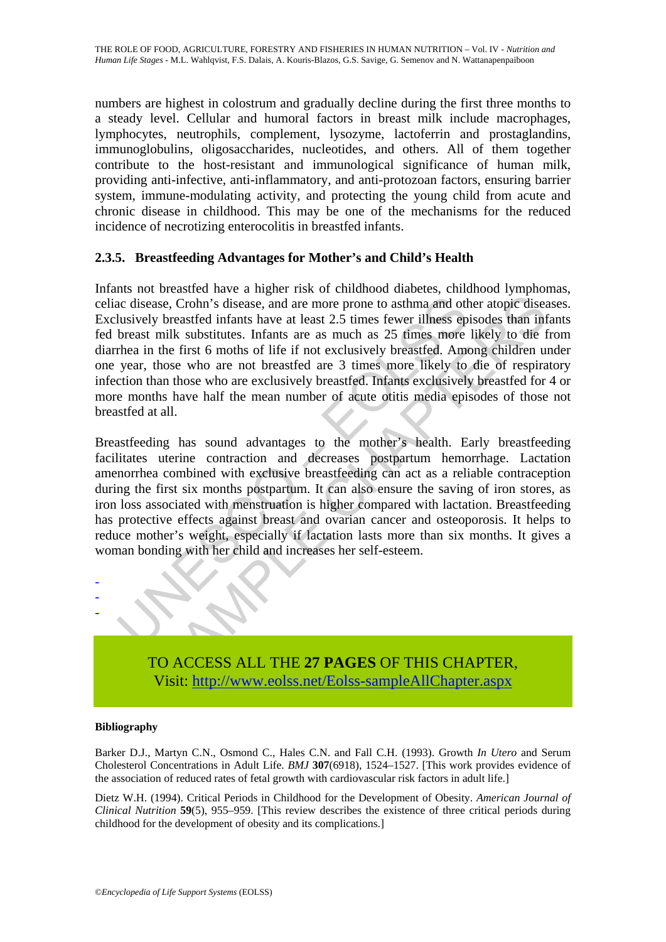numbers are highest in colostrum and gradually decline during the first three months to a steady level. Cellular and humoral factors in breast milk include macrophages, lymphocytes, neutrophils, complement, lysozyme, lactoferrin and prostaglandins, immunoglobulins, oligosaccharides, nucleotides, and others. All of them together contribute to the host-resistant and immunological significance of human milk, providing anti-infective, anti-inflammatory, and anti-protozoan factors, ensuring barrier system, immune-modulating activity, and protecting the young child from acute and chronic disease in childhood. This may be one of the mechanisms for the reduced incidence of necrotizing enterocolitis in breastfed infants.

### **2.3.5. Breastfeeding Advantages for Mother's and Child's Health**

ac disease, Crohn's disease, and are more prone to asthma and ot lusively breastfed infants have at least 2.5 times fewer illness ep<br>breast milk substitutes. Infants are as much as 25 times more<br>thea in the first 6 moths o sae, Crohn's disease, and are more prone to asthma and other atopic disease, Crohn's disease, and are more prone to asthma and other atopic disease between steads to be the first 6 months are as much as 25 times reprised t Infants not breastfed have a higher risk of childhood diabetes, childhood lymphomas, celiac disease, Crohn's disease, and are more prone to asthma and other atopic diseases. Exclusively breastfed infants have at least 2.5 times fewer illness episodes than infants fed breast milk substitutes. Infants are as much as 25 times more likely to die from diarrhea in the first 6 moths of life if not exclusively breastfed. Among children under one year, those who are not breastfed are 3 times more likely to die of respiratory infection than those who are exclusively breastfed. Infants exclusively breastfed for 4 or more months have half the mean number of acute otitis media episodes of those not breastfed at all.

Breastfeeding has sound advantages to the mother's health. Early breastfeeding facilitates uterine contraction and decreases postpartum hemorrhage. Lactation amenorrhea combined with exclusive breastfeeding can act as a reliable contraception during the first six months postpartum. It can also ensure the saving of iron stores, as iron loss associated with menstruation is higher compared with lactation. Breastfeeding has protective effects against breast and ovarian cancer and osteoporosis. It helps to reduce mother's weight, especially if lactation lasts more than six months. It gives a woman bonding with her child and increases her self-esteem.



#### **Bibliography**

- - -

Barker D.J., Martyn C.N., Osmond C., Hales C.N. and Fall C.H. (1993). Growth *In Utero* and Serum Cholesterol Concentrations in Adult Life. *BMJ* **307**(6918), 1524–1527. [This work provides evidence of the association of reduced rates of fetal growth with cardiovascular risk factors in adult life.]

Dietz W.H. (1994). Critical Periods in Childhood for the Development of Obesity. *American Journal of Clinical Nutrition* **59**(5), 955–959. [This review describes the existence of three critical periods during childhood for the development of obesity and its complications.]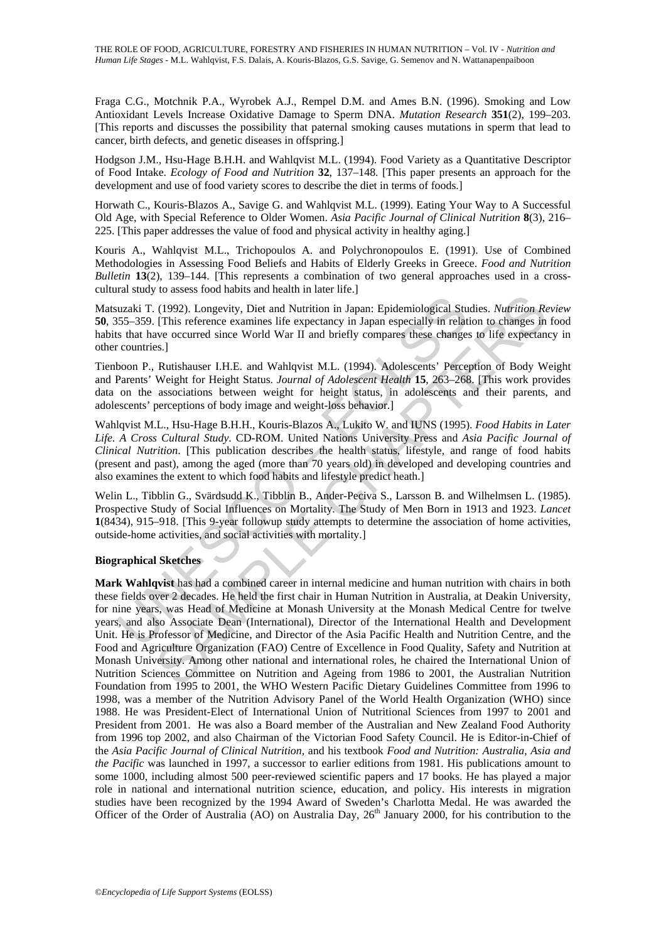Fraga C.G., Motchnik P.A., Wyrobek A.J., Rempel D.M. and Ames B.N. (1996). Smoking and Low Antioxidant Levels Increase Oxidative Damage to Sperm DNA. *Mutation Research* **351**(2), 199–203. [This reports and discusses the possibility that paternal smoking causes mutations in sperm that lead to cancer, birth defects, and genetic diseases in offspring.]

Hodgson J.M., Hsu-Hage B.H.H. and Wahlqvist M.L. (1994). Food Variety as a Quantitative Descriptor of Food Intake. *Ecology of Food and Nutrition* **32**, 137–148. [This paper presents an approach for the development and use of food variety scores to describe the diet in terms of foods.]

Horwath C., Kouris-Blazos A., Savige G. and Wahlqvist M.L. (1999). Eating Your Way to A Successful Old Age, with Special Reference to Older Women. *Asia Pacific Journal of Clinical Nutrition* **8**(3), 216– 225. [This paper addresses the value of food and physical activity in healthy aging.]

Kouris A., Wahlqvist M.L., Trichopoulos A. and Polychronopoulos E. (1991). Use of Combined Methodologies in Assessing Food Beliefs and Habits of Elderly Greeks in Greece. *Food and Nutrition Bulletin* **13**(2), 139–144. [This represents a combination of two general approaches used in a crosscultural study to assess food habits and health in later life.]

Matsuzaki T. (1992). Longevity, Diet and Nutrition in Japan: Epidemiological Studies. *Nutrition Review* **50**, 355–359. [This reference examines life expectancy in Japan especially in relation to changes in food habits that have occurred since World War II and briefly compares these changes to life expectancy in other countries.]

Tienboon P., Rutishauser I.H.E. and Wahlqvist M.L. (1994). Adolescents' Perception of Body Weight and Parents' Weight for Height Status. *Journal of Adolescent Health* **15**, 263–268. [This work provides data on the associations between weight for height status, in adolescents and their parents, and adolescents' perceptions of body image and weight-loss behavior.]

Wahlqvist M.L., Hsu-Hage B.H.H., Kouris-Blazos A., Lukito W. and IUNS (1995). *Food Habits in Later Life. A Cross Cultural Study*. CD-ROM. United Nations University Press and *Asia Pacific Journal of Clinical Nutrition*. [This publication describes the health status, lifestyle, and range of food habits (present and past), among the aged (more than 70 years old) in developed and developing countries and also examines the extent to which food habits and lifestyle predict heath.]

Welin L., Tibblin G., Svärdsudd K., Tibblin B., Ander-Peciva S., Larsson B. and Wilhelmsen L. (1985). Prospective Study of Social Influences on Mortality. The Study of Men Born in 1913 and 1923. *Lancet* **1**(8434), 915–918. [This 9-year followup study attempts to determine the association of home activities, outside-home activities, and social activities with mortality.]

#### **Biographical Sketches**

uzaki T. (1992). Longevity, Diet and Nutrition in Japan: Epidemiological Stuss5-359. [This reference examines life expectancy in Japan especially in relat s that have occurred since World War II and briefly compares these (1992). Longevity, Diet and Nutrition in Japan: Epidemiological Studies. *Mutrition* Representing (This reference examines life expectancy in Japan: Epidemiological Studies. *Mutrition* Represent (This reference examines **Mark Wahlqvist** has had a combined career in internal medicine and human nutrition with chairs in both these fields over 2 decades. He held the first chair in Human Nutrition in Australia, at Deakin University, for nine years, was Head of Medicine at Monash University at the Monash Medical Centre for twelve years, and also Associate Dean (International), Director of the International Health and Development Unit. He is Professor of Medicine, and Director of the Asia Pacific Health and Nutrition Centre, and the Food and Agriculture Organization (FAO) Centre of Excellence in Food Quality, Safety and Nutrition at Monash University. Among other national and international roles, he chaired the International Union of Nutrition Sciences Committee on Nutrition and Ageing from 1986 to 2001, the Australian Nutrition Foundation from 1995 to 2001, the WHO Western Pacific Dietary Guidelines Committee from 1996 to 1998, was a member of the Nutrition Advisory Panel of the World Health Organization (WHO) since 1988. He was President-Elect of International Union of Nutritional Sciences from 1997 to 2001 and President from 2001. He was also a Board member of the Australian and New Zealand Food Authority from 1996 top 2002, and also Chairman of the Victorian Food Safety Council. He is Editor-in-Chief of the *Asia Pacific Journal of Clinical Nutrition,* and his textbook *Food and Nutrition: Australia, Asia and the Pacific* was launched in 1997, a successor to earlier editions from 1981. His publications amount to some 1000, including almost 500 peer-reviewed scientific papers and 17 books. He has played a major role in national and international nutrition science, education, and policy. His interests in migration studies have been recognized by the 1994 Award of Sweden's Charlotta Medal. He was awarded the Officer of the Order of Australia (AO) on Australia Day,  $26<sup>th</sup>$  January 2000, for his contribution to the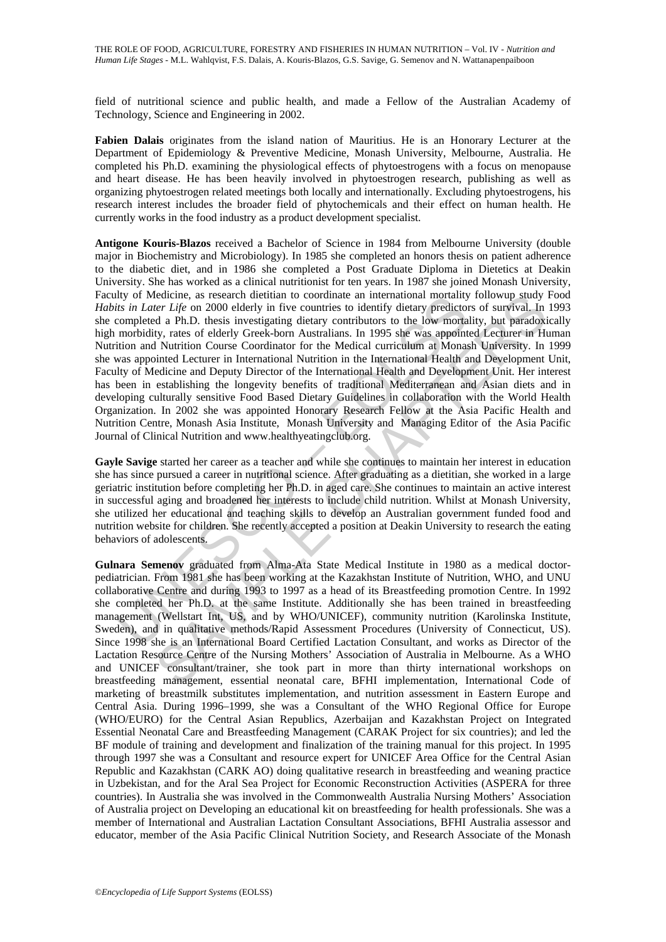field of nutritional science and public health, and made a Fellow of the Australian Academy of Technology, Science and Engineering in 2002.

**Fabien Dalais** originates from the island nation of Mauritius. He is an Honorary Lecturer at the Department of Epidemiology & Preventive Medicine, Monash University, Melbourne, Australia. He completed his Ph.D. examining the physiological effects of phytoestrogens with a focus on menopause and heart disease. He has been heavily involved in phytoestrogen research, publishing as well as organizing phytoestrogen related meetings both locally and internationally. Excluding phytoestrogens, his research interest includes the broader field of phytochemicals and their effect on human health. He currently works in the food industry as a product development specialist.

Ity or Medicine, as research dietition to coordinate an international moralanty<br>for sin *Later Lije* on 2000 elderly in five countries to identify dietary predictor<br>completed a Ph.D. thesis investigating dietary contributo detione, as research dietitan to coordinate an international mordality biolowing study.<br>
Her Life on 2000 elderly in five countries to identify dietary predictors of survival. In<br>
the a Ph.D. thesis investigating dietary c **Antigone Kouris-Blazos** received a Bachelor of Science in 1984 from Melbourne University (double major in Biochemistry and Microbiology). In 1985 she completed an honors thesis on patient adherence to the diabetic diet, and in 1986 she completed a Post Graduate Diploma in Dietetics at Deakin University. She has worked as a clinical nutritionist for ten years. In 1987 she joined Monash University, Faculty of Medicine, as research dietitian to coordinate an international mortality followup study Food *Habits in Later Life* on 2000 elderly in five countries to identify dietary predictors of survival. In 1993 she completed a Ph.D. thesis investigating dietary contributors to the low mortality, but paradoxically high morbidity, rates of elderly Greek-born Australians. In 1995 she was appointed Lecturer in Human Nutrition and Nutrition Course Coordinator for the Medical curriculum at Monash University. In 1999 she was appointed Lecturer in International Nutrition in the International Health and Development Unit, Faculty of Medicine and Deputy Director of the International Health and Development Unit. Her interest has been in establishing the longevity benefits of traditional Mediterranean and Asian diets and in developing culturally sensitive Food Based Dietary Guidelines in collaboration with the World Health Organization. In 2002 she was appointed Honorary Research Fellow at the Asia Pacific Health and Nutrition Centre, Monash Asia Institute, Monash University and Managing Editor of the Asia Pacific Journal of Clinical Nutrition and www.healthyeatingclub.org.

**Gayle Savige** started her career as a teacher and while she continues to maintain her interest in education she has since pursued a career in nutritional science. After graduating as a dietitian, she worked in a large geriatric institution before completing her Ph.D. in aged care. She continues to maintain an active interest in successful aging and broadened her interests to include child nutrition. Whilst at Monash University, she utilized her educational and teaching skills to develop an Australian government funded food and nutrition website for children. She recently accepted a position at Deakin University to research the eating behaviors of adolescents.

**Gulnara Semenov** graduated from Alma-Ata State Medical Institute in 1980 as a medical doctorpediatrician. From 1981 she has been working at the Kazakhstan Institute of Nutrition, WHO, and UNU collaborative Centre and during 1993 to 1997 as a head of its Breastfeeding promotion Centre. In 1992 she completed her Ph.D. at the same Institute. Additionally she has been trained in breastfeeding management (Wellstart Int, US, and by WHO/UNICEF), community nutrition (Karolinska Institute, Sweden), and in qualitative methods/Rapid Assessment Procedures (University of Connecticut, US). Since 1998 she is an International Board Certified Lactation Consultant, and works as Director of the Lactation Resource Centre of the Nursing Mothers' Association of Australia in Melbourne. As a WHO and UNICEF consultant/trainer, she took part in more than thirty international workshops on breastfeeding management, essential neonatal care, BFHI implementation, International Code of marketing of breastmilk substitutes implementation, and nutrition assessment in Eastern Europe and Central Asia. During 1996–1999, she was a Consultant of the WHO Regional Office for Europe (WHO/EURO) for the Central Asian Republics, Azerbaijan and Kazakhstan Project on Integrated Essential Neonatal Care and Breastfeeding Management (CARAK Project for six countries); and led the BF module of training and development and finalization of the training manual for this project. In 1995 through 1997 she was a Consultant and resource expert for UNICEF Area Office for the Central Asian Republic and Kazakhstan (CARK AO) doing qualitative research in breastfeeding and weaning practice in Uzbekistan, and for the Aral Sea Project for Economic Reconstruction Activities (ASPERA for three countries). In Australia she was involved in the Commonwealth Australia Nursing Mothers' Association of Australia project on Developing an educational kit on breastfeeding for health professionals. She was a member of International and Australian Lactation Consultant Associations, BFHI Australia assessor and educator, member of the Asia Pacific Clinical Nutrition Society, and Research Associate of the Monash